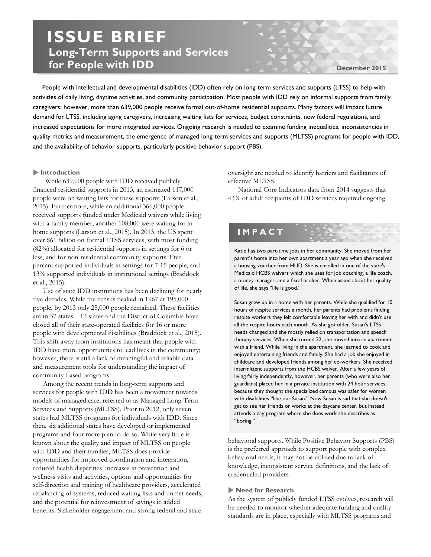# **ISSUE BRIEF Long-Term Supports and Services for People with IDD**

**December 2015**

 People with intellectual and developmental disabilities (IDD) often rely on long-term services and supports (LTSS) to help with activities of daily living, daytime activities, and community participation. Most people with IDD rely on informal supports from family caregivers; however, more than 639,000 people receive formal out-of-home residential supports. Many factors will impact future demand for LTSS, including aging caregivers, increasing waiting lists for services, budget constraints, new federal regulations, and increased expectations for more integrated services. Ongoing research is needed to examine funding inequalities, inconsistencies in quality metrics and measurement, the emergence of managed long-term services and supports (MLTSS) programs for people with IDD, and the availability of behavior supports, particularly positive behavior support (PBS).

# **Introduction**

While 639,000 people with IDD received publicly financed residential supports in 2013, an estimated 117,000 people were on waiting lists for these supports (Larson et al., 2015). Furthermore, while an additional 366,000 people received supports funded under Medicaid waivers while living with a family member, another 108,000 were waiting for inhome supports (Larson et al., 2015). In 2013, the US spent over \$61 billion on formal LTSS services, with most funding (82%) allocated for residential supports in settings for 6 or less, and for non-residential community supports. Five percent supported individuals in settings for 7-15 people, and 13% supported individuals in institutional settings (Braddock et al., 2015).

Use of state IDD institutions has been declining for nearly five decades. While the census peaked in 1967 at 195,000 people, by 2013 only 25,000 people remained. These facilities are in 37 states—13 states and the District of Columbia have closed all of their state-operated facilities for 16 or more people with developmental disabilities (Braddock et al., 2015). This shift away from institutions has meant that people with IDD have more opportunities to lead lives in the community; however, there is still a lack of meaningful and reliable data and measurement tools for understanding the impact of community-based programs.

Among the recent trends in long-term supports and services for people with IDD has been a movement towards models of managed care, referred to as Managed Long-Term Services and Supports (MLTSS). Prior to 2012, only seven states had MLTSS programs for individuals with IDD. Since then, six additional states have developed or implemented programs and four more plan to do so. While very little is known about the quality and impact of MLTSS on people with IDD and their families, MLTSS does provide opportunities for improved coordination and integration, reduced health disparities, increases in prevention and wellness visits and activities, options and opportunities for self-direction and training of healthcare providers, accelerated rebalancing of systems, reduced waiting lists and unmet needs, and the potential for reinvestment of savings in added benefits. Stakeholder engagement and strong federal and state

oversight are needed to identify barriers and facilitators of effective MLTSS.

National Core Indicators data from 2014 suggests that 43% of adult recipients of IDD services required ongoing

# **IMPACT**

Katie has two part-time jobs in her community. She moved from her parent's home into her own apartment a year ago when she received a housing voucher from HUD. She is enrolled in one of the state's Medicaid HCBS waivers which she uses for job coaching, a life coach, a money manager, and a fiscal broker. When asked about her quality of life, she says "life is good."

Susan grew up in a home with her parents. While she qualified for 10 hours of respite services a month, her parents had problems finding respite workers they felt comfortable leaving her with and didn't use all the respite hours each month. As she got older, Susan's LTSS needs changed and she mostly relied on transportation and speech therapy services. When she turned 22, she moved into an apartment with a friend. While living in the apartment, she learned to cook and enjoyed entertaining friends and family. She had a job she enjoyed in childcare and developed friends among her co-workers. She received intermittent supports from the HCBS waiver. After a few years of living fairly independently, however, her parents (who were also her guardians) placed her in a private institution with 24 hour services because they thought the specialized campus was safer for women with disabilities "like our Susan." Now Susan is sad that she doesn't get to see her friends or works at the daycare center, but instead attends a day program where she does work she describes as "boring."

behavioral supports. While Positive Behavior Supports (PBS) is the preferred approach to support people with complex behavioral needs, it may not be utilized due to lack of knowledge, inconsistent service definitions, and the lack of credentialed providers.

### **Need for Research**

As the system of publicly funded LTSS evolves, research will be needed to monitor whether adequate funding and quality standards are in place, especially with MLTSS programs and